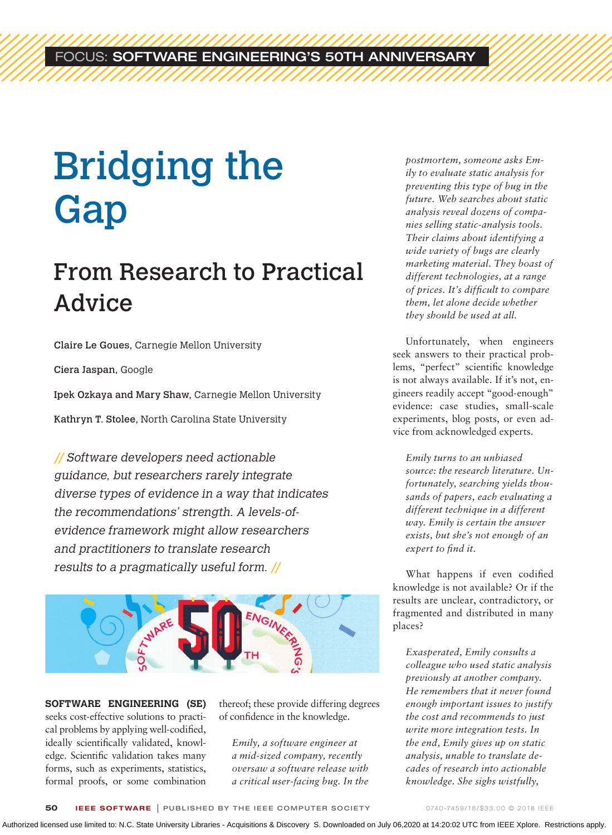# Bridging the **Gap**

## From Research to Practical Advice

Claire Le Goues, Carnegie Mellon University

Ciera Jaspan, Google

Ipek Ozkaya and Mary Shaw, Carnegie Mellon University

Kathryn T. Stolee, North Carolina State University

**//** Software developers need actionable guidance, but researchers rarely integrate diverse types of evidence in a way that indicates the recommendations' strength. A levels-ofevidence framework might allow researchers and practitioners to translate research results to a pragmatically useful form. **//**



**SOFTWARE ENGINEERING (SE)**  seeks cost-effective solutions to practical problems by applying well-codified, ideally scientifically validated, knowledge. Scientific validation takes many forms, such as experiments, statistics, formal proofs, or some combination thereof; these provide differing degrees of confidence in the knowledge.

*Emily, a software engineer at a mid-sized company, recently oversaw a software release with a critical user-facing bug. In the*  *postmortem, someone asks Emily to evaluate static analysis for preventing this type of bug in the future. Web searches about static analysis reveal dozens of companies selling static-analysis tools. Their claims about identifying a wide variety of bugs are clearly marketing material. They boast of different technologies, at a range of prices. It's difficult to compare them, let alone decide whether they should be used at all.*

Unfortunately, when engineers seek answers to their practical problems, "perfect" scientific knowledge is not always available. If it's not, engineers readily accept "good-enough" evidence: case studies, small-scale experiments, blog posts, or even advice from acknowledged experts.

*Emily turns to an unbiased source: the research literature. Unfortunately, searching yields thousands of papers, each evaluating a different technique in a different way. Emily is certain the answer exists, but she's not enough of an expert to find it.*

What happens if even codified knowledge is not available? Or if the results are unclear, contradictory, or fragmented and distributed in many places?

*Exasperated, Emily consults a colleague who used static analysis previously at another company. He remembers that it never found enough important issues to justify the cost and recommends to just write more integration tests. In the end, Emily gives up on static analysis, unable to translate decades of research into actionable knowledge. She sighs wistfully,* 

Authorized licensed use limited to: N.C. State University Libraries - Acquisitions & Discovery S. Downloaded on July 06,2020 at 14:20:02 UTC from IEEE Xplore. Restrictions apply.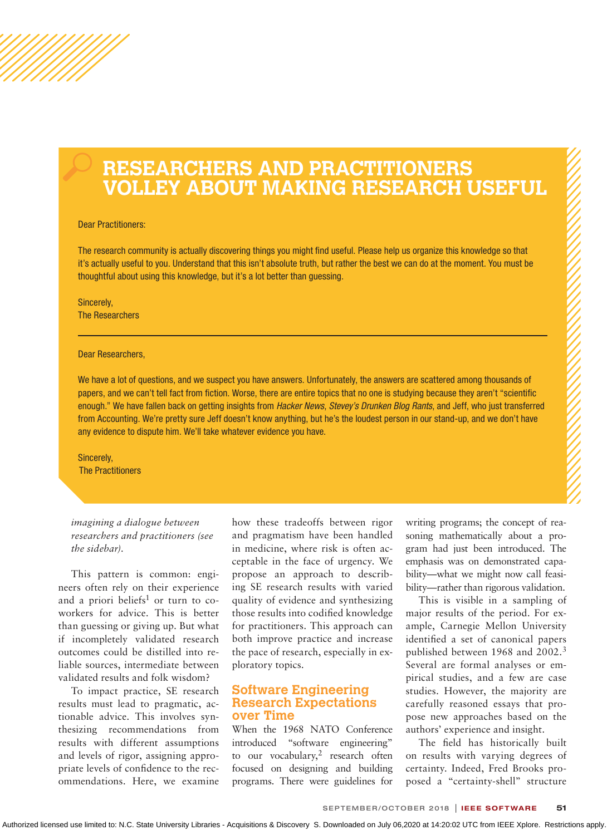### **RESEARCHERS AND PRACTITIONERS VOLLEY ABOUT MAKING RESEARCH USEFUL**

#### Dear Practitioners:

The research community is actually discovering things you might find useful. Please help us organize this knowledge so that it's actually useful to you. Understand that this isn't absolute truth, but rather the best we can do at the moment. You must be thoughtful about using this knowledge, but it's a lot better than guessing.

Sincerely, The Researchers

#### Dear Researchers,

We have a lot of questions, and we suspect you have answers. Unfortunately, the answers are scattered among thousands of papers, and we can't tell fact from fiction. Worse, there are entire topics that no one is studying because they aren't "scientific enough." We have fallen back on getting insights from *Hacker News*, *Stevey's Drunken Blog Rants*, and Jeff, who just transferred from Accounting. We're pretty sure Jeff doesn't know anything, but he's the loudest person in our stand-up, and we don't have any evidence to dispute him. We'll take whatever evidence you have.

Sincerely, The Practitioners

*imagining a dialogue between researchers and practitioners (see the sidebar).*

This pattern is common: engineers often rely on their experience and a priori beliefs<sup>1</sup> or turn to coworkers for advice. This is better than guessing or giving up. But what if incompletely validated research outcomes could be distilled into reliable sources, intermediate between validated results and folk wisdom?

To impact practice, SE research results must lead to pragmatic, actionable advice. This involves synthesizing recommendations from results with different assumptions and levels of rigor, assigning appropriate levels of confidence to the recommendations. Here, we examine how these tradeoffs between rigor and pragmatism have been handled in medicine, where risk is often acceptable in the face of urgency. We propose an approach to describing SE research results with varied quality of evidence and synthesizing those results into codified knowledge for practitioners. This approach can both improve practice and increase the pace of research, especially in exploratory topics.

#### **Software Engineering Research Expectations over Time**

When the 1968 NATO Conference introduced "software engineering" to our vocabulary, $2$  research often focused on designing and building programs. There were guidelines for

writing programs; the concept of reasoning mathematically about a program had just been introduced. The emphasis was on demonstrated capability—what we might now call feasibility—rather than rigorous validation.

This is visible in a sampling of major results of the period. For example, Carnegie Mellon University identified a set of canonical papers published between 1968 and 2002.<sup>3</sup> Several are formal analyses or empirical studies, and a few are case studies. However, the majority are carefully reasoned essays that propose new approaches based on the authors' experience and insight.

The field has historically built on results with varying degrees of certainty. Indeed, Fred Brooks proposed a "certainty-shell" structure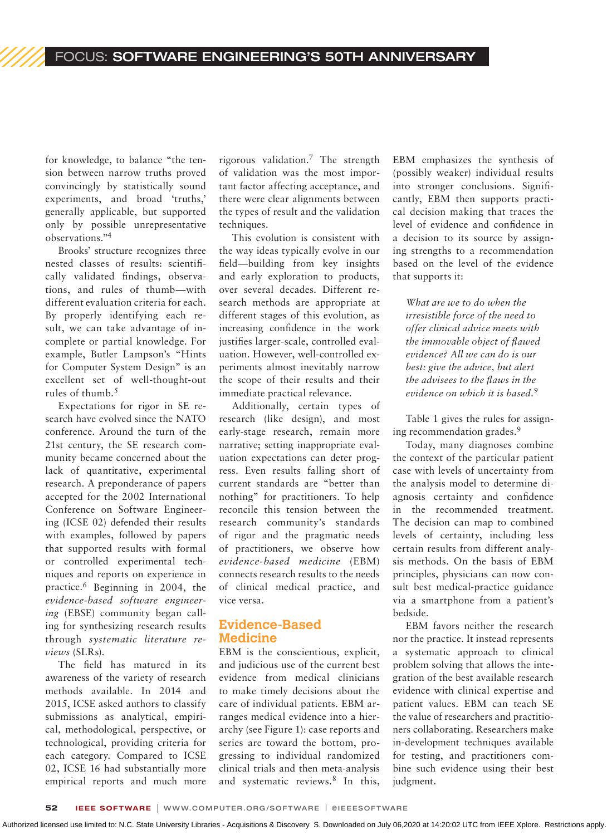for knowledge, to balance "the tension between narrow truths proved convincingly by statistically sound experiments, and broad 'truths,' generally applicable, but supported only by possible unrepresentative observations."4

Brooks' structure recognizes three nested classes of results: scientifically validated findings, observations, and rules of thumb—with different evaluation criteria for each. By properly identifying each result, we can take advantage of incomplete or partial knowledge. For example, Butler Lampson's "Hints for Computer System Design" is an excellent set of well-thought-out rules of thumb.<sup>5</sup>

Expectations for rigor in SE research have evolved since the NATO conference. Around the turn of the 21st century, the SE research community became concerned about the lack of quantitative, experimental research. A preponderance of papers accepted for the 2002 International Conference on Software Engineering (ICSE 02) defended their results with examples, followed by papers that supported results with formal or controlled experimental techniques and reports on experience in practice.6 Beginning in 2004, the *evidence-based software engineering* (EBSE) community began calling for synthesizing research results through *systematic literature reviews* (SLRs).

The field has matured in its awareness of the variety of research methods available. In 2014 and 2015, ICSE asked authors to classify submissions as analytical, empirical, methodological, perspective, or technological, providing criteria for each category. Compared to ICSE 02, ICSE 16 had substantially more empirical reports and much more

rigorous validation.7 The strength of validation was the most important factor affecting acceptance, and there were clear alignments between the types of result and the validation techniques.

This evolution is consistent with the way ideas typically evolve in our field—building from key insights and early exploration to products, over several decades. Different research methods are appropriate at different stages of this evolution, as increasing confidence in the work justifies larger-scale, controlled evaluation. However, well-controlled experiments almost inevitably narrow the scope of their results and their immediate practical relevance.

Additionally, certain types of research (like design), and most early-stage research, remain more narrative; setting inappropriate evaluation expectations can deter progress. Even results falling short of current standards are "better than nothing" for practitioners. To help reconcile this tension between the research community's standards of rigor and the pragmatic needs of practitioners, we observe how *evidence-based medicine* (EBM) connects research results to the needs of clinical medical practice, and vice versa.

#### **Evidence-Based Medicine**

EBM is the conscientious, explicit, and judicious use of the current best evidence from medical clinicians to make timely decisions about the care of individual patients. EBM arranges medical evidence into a hierarchy (see Figure 1): case reports and series are toward the bottom, progressing to individual randomized clinical trials and then meta-analysis and systematic reviews.8 In this,

EBM emphasizes the synthesis of (possibly weaker) individual results into stronger conclusions. Significantly, EBM then supports practical decision making that traces the level of evidence and confidence in a decision to its source by assigning strengths to a recommendation based on the level of the evidence that supports it:

*What are we to do when the irresistible force of the need to offer clinical advice meets with the immovable object of flawed evidence? All we can do is our best: give the advice, but alert the advisees to the flaws in the evidence on which it is based.*<sup>9</sup>

Table 1 gives the rules for assigning recommendation grades.<sup>9</sup>

Today, many diagnoses combine the context of the particular patient case with levels of uncertainty from the analysis model to determine diagnosis certainty and confidence in the recommended treatment. The decision can map to combined levels of certainty, including less certain results from different analysis methods. On the basis of EBM principles, physicians can now consult best medical-practice guidance via a smartphone from a patient's bedside.

EBM favors neither the research nor the practice. It instead represents a systematic approach to clinical problem solving that allows the integration of the best available research evidence with clinical expertise and patient values. EBM can teach SE the value of researchers and practitioners collaborating. Researchers make in-development techniques available for testing, and practitioners combine such evidence using their best judgment.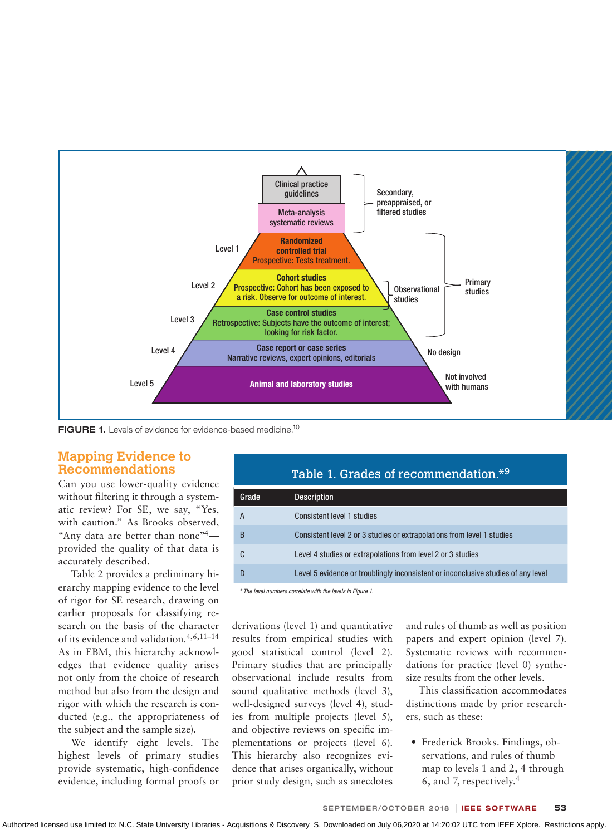

FIGURE 1. Levels of evidence for evidence-based medicine.<sup>10</sup>

#### **Mapping Evidence to Recommendations**

Can you use lower-quality evidence without filtering it through a systematic review? For SE, we say, "Yes, with caution." As Brooks observed, "Any data are better than none"4 provided the quality of that data is accurately described.

Table 2 provides a preliminary hierarchy mapping evidence to the level of rigor for SE research, drawing on earlier proposals for classifying research on the basis of the character of its evidence and validation.4,6,11–14 As in EBM, this hierarchy acknowledges that evidence quality arises not only from the choice of research method but also from the design and rigor with which the research is conducted (e.g., the appropriateness of the subject and the sample size).

We identify eight levels. The highest levels of primary studies provide systematic, high-confidence evidence, including formal proofs or

| Table 1. Grades of recommendation.*9 |                                                                                   |  |  |  |
|--------------------------------------|-----------------------------------------------------------------------------------|--|--|--|
| Grade                                | <b>Description</b>                                                                |  |  |  |
| A                                    | Consistent level 1 studies                                                        |  |  |  |
| <sub>B</sub>                         | Consistent level 2 or 3 studies or extrapolations from level 1 studies            |  |  |  |
| C                                    | Level 4 studies or extrapolations from level 2 or 3 studies                       |  |  |  |
| D                                    | Level 5 evidence or troublingly inconsistent or inconclusive studies of any level |  |  |  |

*\* The level numbers correlate with the levels in Figure 1.*

derivations (level 1) and quantitative results from empirical studies with good statistical control (level 2). Primary studies that are principally observational include results from sound qualitative methods (level 3), well-designed surveys (level 4), studies from multiple projects (level 5), and objective reviews on specific implementations or projects (level 6). This hierarchy also recognizes evidence that arises organically, without prior study design, such as anecdotes

and rules of thumb as well as position papers and expert opinion (level 7). Systematic reviews with recommendations for practice (level 0) synthesize results from the other levels.

This classification accommodates distinctions made by prior researchers, such as these:

• Frederick Brooks. Findings, observations, and rules of thumb map to levels 1 and 2, 4 through 6, and 7, respectively.4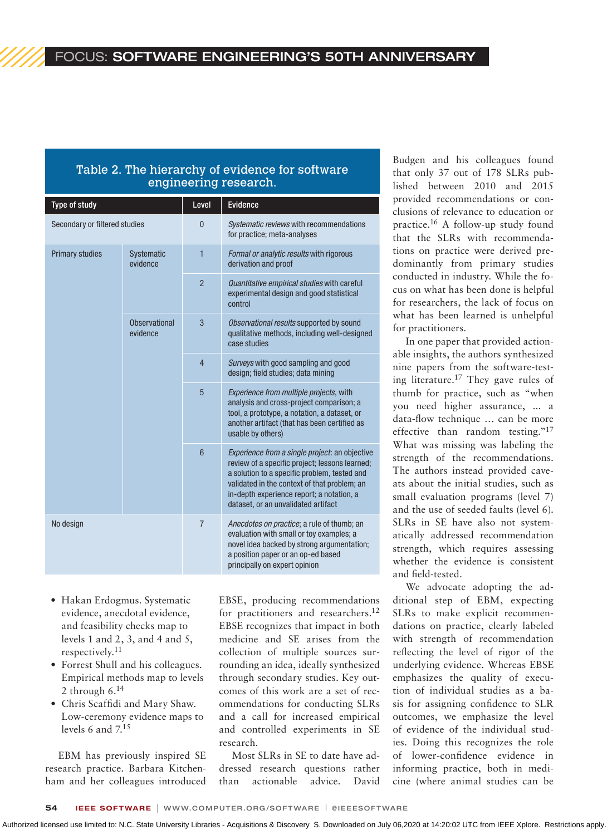#### FOCUS: SOFTWARE ENGINEERING'S 50TH ANNIVERSARY

|                       |  |  | Table 2. The hierarchy of evidence for software |  |  |  |
|-----------------------|--|--|-------------------------------------------------|--|--|--|
| engineering research. |  |  |                                                 |  |  |  |
|                       |  |  |                                                 |  |  |  |

| Type of study                 |                                  | Level           | <b>Evidence</b>                                                                                                                                                                                                                                                                      |
|-------------------------------|----------------------------------|-----------------|--------------------------------------------------------------------------------------------------------------------------------------------------------------------------------------------------------------------------------------------------------------------------------------|
| Secondary or filtered studies |                                  | $\overline{0}$  | Systematic reviews with recommendations<br>for practice; meta-analyses                                                                                                                                                                                                               |
| <b>Primary studies</b>        | Systematic<br>evidence           | $\mathbf{1}$    | Formal or analytic results with rigorous<br>derivation and proof                                                                                                                                                                                                                     |
|                               |                                  | $\overline{2}$  | Quantitative empirical studies with careful<br>experimental design and good statistical<br>control                                                                                                                                                                                   |
|                               | <b>Observational</b><br>evidence | 3               | Observational results supported by sound<br>qualitative methods, including well-designed<br>case studies                                                                                                                                                                             |
|                               |                                  | $\overline{4}$  | Surveys with good sampling and good<br>design; field studies; data mining                                                                                                                                                                                                            |
|                               |                                  | 5               | Experience from multiple projects, with<br>analysis and cross-project comparison; a<br>tool, a prototype, a notation, a dataset, or<br>another artifact (that has been certified as<br>usable by others)                                                                             |
|                               |                                  | $6\overline{6}$ | Experience from a single project: an objective<br>review of a specific project; lessons learned;<br>a solution to a specific problem, tested and<br>validated in the context of that problem; an<br>in-depth experience report; a notation, a<br>dataset, or an unvalidated artifact |
| No design                     |                                  | $\overline{7}$  | Anecdotes on practice; a rule of thumb; an<br>evaluation with small or toy examples; a<br>novel idea backed by strong argumentation;<br>a position paper or an op-ed based<br>principally on expert opinion                                                                          |

- Hakan Erdogmus. Systematic evidence, anecdotal evidence, and feasibility checks map to levels 1 and 2, 3, and 4 and 5, respectively.11
- Forrest Shull and his colleagues. Empirical methods map to levels 2 through 6.14
- Chris Scaffidi and Mary Shaw. Low-ceremony evidence maps to levels 6 and 7.15

EBM has previously inspired SE research practice. Barbara Kitchenham and her colleagues introduced EBSE, producing recommendations for practitioners and researchers.<sup>12</sup> EBSE recognizes that impact in both medicine and SE arises from the collection of multiple sources surrounding an idea, ideally synthesized through secondary studies. Key outcomes of this work are a set of recommendations for conducting SLRs and a call for increased empirical and controlled experiments in SE research.

Most SLRs in SE to date have addressed research questions rather than actionable advice. David

Budgen and his colleagues found that only 37 out of 178 SLRs published between 2010 and 2015 provided recommendations or conclusions of relevance to education or practice.16 A follow-up study found that the SLRs with recommendations on practice were derived predominantly from primary studies conducted in industry. While the focus on what has been done is helpful for researchers, the lack of focus on what has been learned is unhelpful for practitioners.

In one paper that provided actionable insights, the authors synthesized nine papers from the software-testing literature.17 They gave rules of thumb for practice, such as "when you need higher assurance, ... a data-flow technique … can be more effective than random testing."<sup>17</sup> What was missing was labeling the strength of the recommendations. The authors instead provided caveats about the initial studies, such as small evaluation programs (level 7) and the use of seeded faults (level 6). SLRs in SE have also not systematically addressed recommendation strength, which requires assessing whether the evidence is consistent and field-tested.

We advocate adopting the additional step of EBM, expecting SLRs to make explicit recommendations on practice, clearly labeled with strength of recommendation reflecting the level of rigor of the underlying evidence. Whereas EBSE emphasizes the quality of execution of individual studies as a basis for assigning confidence to SLR outcomes, we emphasize the level of evidence of the individual studies. Doing this recognizes the role of lower-confidence evidence in informing practice, both in medicine (where animal studies can be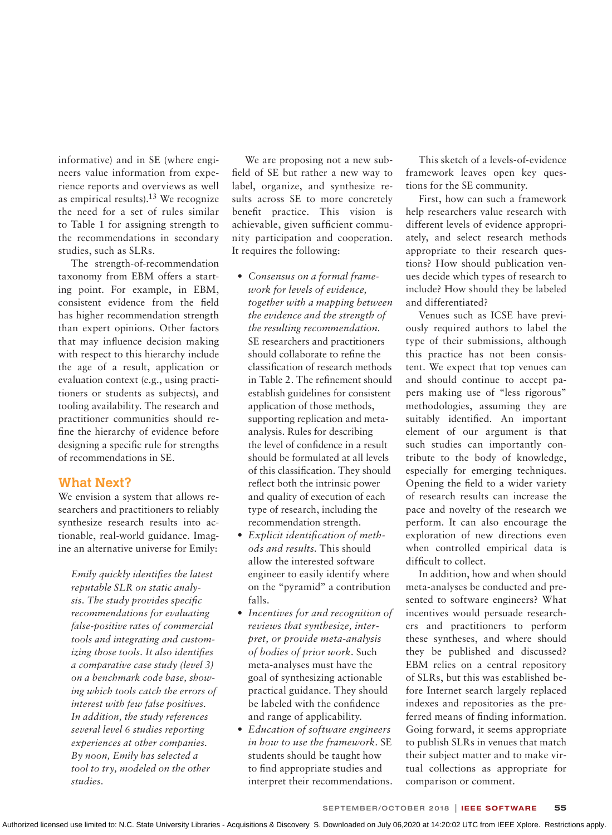informative) and in SE (where engineers value information from experience reports and overviews as well as empirical results).13 We recognize the need for a set of rules similar to Table 1 for assigning strength to the recommendations in secondary studies, such as SLRs.

The strength-of-recommendation taxonomy from EBM offers a starting point. For example, in EBM, consistent evidence from the field has higher recommendation strength than expert opinions. Other factors that may influence decision making with respect to this hierarchy include the age of a result, application or evaluation context (e.g., using practitioners or students as subjects), and tooling availability. The research and practitioner communities should refine the hierarchy of evidence before designing a specific rule for strengths of recommendations in SE.

#### **What Next?**

We envision a system that allows researchers and practitioners to reliably synthesize research results into actionable, real-world guidance. Imagine an alternative universe for Emily:

*Emily quickly identifies the latest reputable SLR on static analysis. The study provides specific recommendations for evaluating false-positive rates of commercial tools and integrating and customizing those tools. It also identifies a comparative case study (level 3) on a benchmark code base, showing which tools catch the errors of interest with few false positives. In addition, the study references several level 6 studies reporting experiences at other companies. By noon, Emily has selected a tool to try, modeled on the other studies.*

We are proposing not a new subfield of SE but rather a new way to label, organize, and synthesize results across SE to more concretely benefit practice. This vision is achievable, given sufficient community participation and cooperation. It requires the following:

- *Consensus on a formal framework for levels of evidence, together with a mapping between the evidence and the strength of the resulting recommendation*. SE researchers and practitioners should collaborate to refine the classification of research methods in Table 2. The refinement should establish guidelines for consistent application of those methods, supporting replication and metaanalysis. Rules for describing the level of confidence in a result should be formulated at all levels of this classification. They should reflect both the intrinsic power and quality of execution of each type of research, including the recommendation strength.
- *Explicit identification of methods and results*. This should allow the interested software engineer to easily identify where on the "pyramid" a contribution falls.
- *Incentives for and recognition of reviews that synthesize, interpret, or provide meta-analysis of bodies of prior work*. Such meta-analyses must have the goal of synthesizing actionable practical guidance. They should be labeled with the confidence and range of applicability.
- *Education of software engineers in how to use the framework*. SE students should be taught how to find appropriate studies and interpret their recommendations.

This sketch of a levels-of-evidence framework leaves open key questions for the SE community.

First, how can such a framework help researchers value research with different levels of evidence appropriately, and select research methods appropriate to their research questions? How should publication venues decide which types of research to include? How should they be labeled and differentiated?

Venues such as ICSE have previously required authors to label the type of their submissions, although this practice has not been consistent. We expect that top venues can and should continue to accept papers making use of "less rigorous" methodologies, assuming they are suitably identified. An important element of our argument is that such studies can importantly contribute to the body of knowledge, especially for emerging techniques. Opening the field to a wider variety of research results can increase the pace and novelty of the research we perform. It can also encourage the exploration of new directions even when controlled empirical data is difficult to collect.

In addition, how and when should meta-analyses be conducted and presented to software engineers? What incentives would persuade researchers and practitioners to perform these syntheses, and where should they be published and discussed? EBM relies on a central repository of SLRs, but this was established before Internet search largely replaced indexes and repositories as the preferred means of finding information. Going forward, it seems appropriate to publish SLRs in venues that match their subject matter and to make virtual collections as appropriate for comparison or comment.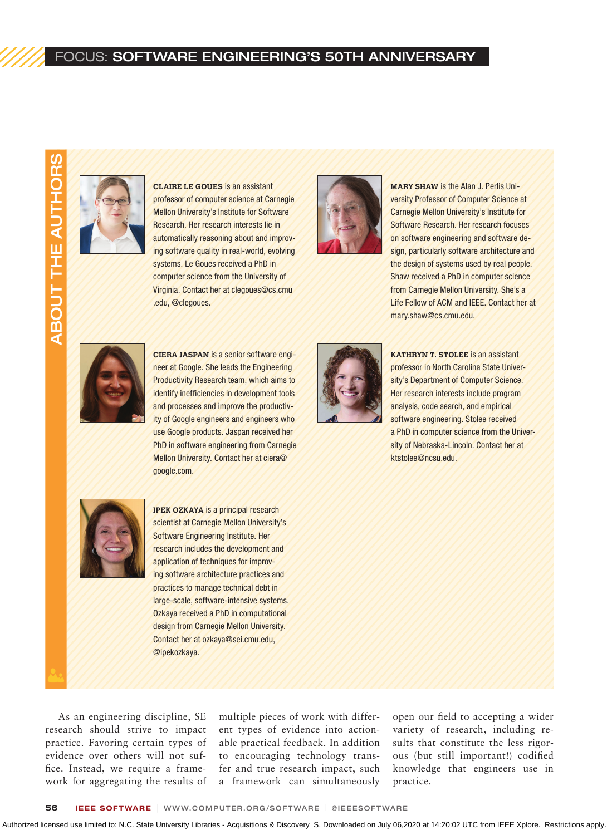#### FOCUS: SOFTWARE ENGINEERING'S 50TH ANNIVERSARY





**CLAIRE LE GOUES** is an assistant professor of computer science at Carnegie Mellon University's Institute for Software Research. Her research interests lie in automatically reasoning about and improving software quality in real-world, evolving systems. Le Goues received a PhD in computer science from the University of Virginia. Contact her at clegoues@cs.cmu .edu, @clegoues.



**MARY SHAW** is the Alan J. Perlis University Professor of Computer Science at Carnegie Mellon University's Institute for Software Research. Her research focuses on software engineering and software design, particularly software architecture and the design of systems used by real people. Shaw received a PhD in computer science from Carnegie Mellon University. She's a Life Fellow of ACM and IEEE. Contact her at mary.shaw@cs.cmu.edu.



**CIERA JASPAN** is a senior software engineer at Google. She leads the Engineering Productivity Research team, which aims to identify inefficiencies in development tools and processes and improve the productivity of Google engineers and engineers who use Google products. Jaspan received her PhD in software engineering from Carnegie Mellon University. Contact her at ciera@ google.com.



**KATHRYN T. STOLEE** is an assistant professor in North Carolina State University's Department of Computer Science. Her research interests include program analysis, code search, and empirical software engineering. Stolee received a PhD in computer science from the University of Nebraska-Lincoln. Contact her at ktstolee@ncsu.edu.



**IPEK OZKAYA** is a principal research scientist at Carnegie Mellon University's Software Engineering Institute. Her research includes the development and application of techniques for improving software architecture practices and practices to manage technical debt in large-scale, software-intensive systems. Ozkaya received a PhD in computational design from Carnegie Mellon University. Contact her at ozkaya@sei.cmu.edu, @ipekozkaya.

As an engineering discipline, SE research should strive to impact practice. Favoring certain types of evidence over others will not suffice. Instead, we require a framework for aggregating the results of multiple pieces of work with different types of evidence into actionable practical feedback. In addition to encouraging technology transfer and true research impact, such a framework can simultaneously open our field to accepting a wider variety of research, including results that constitute the less rigorous (but still important!) codified knowledge that engineers use in practice.